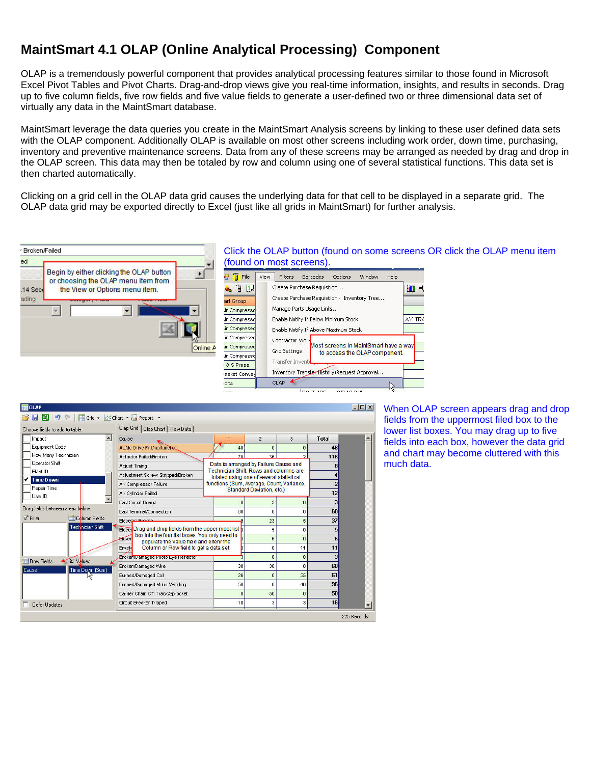## **MaintSmart 4.1 OLAP (Online Analytical Processing) Component**

OLAP is a tremendously powerful component that provides analytical processing features similar to those found in Microsoft Excel Pivot Tables and Pivot Charts. Drag-and-drop views give you real-time information, insights, and results in seconds. Drag up to five column fields, five row fields and five value fields to generate a user-defined two or three dimensional data set of virtually any data in the MaintSmart database.

MaintSmart leverage the data queries you create in the MaintSmart Analysis screens by linking to these user defined data sets with the OLAP component. Additionally OLAP is available on most other screens including work order, down time, purchasing, inventory and preventive maintenance screens. Data from any of these screens may be arranged as needed by drag and drop in the OLAP screen. This data may then be totaled by row and column using one of several statistical functions. This data set is then charted automatically.

Clicking on a grid cell in the OLAP data grid causes the underlying data for that cell to be displayed in a separate grid. The OLAP data grid may be exported directly to Excel (just like all grids in MaintSmart) for further analysis.



| Choose fields to add to table:         | Olap Grid   Olap Chart   Raw Data                                                                 |                                                                                    |                |                |                          |
|----------------------------------------|---------------------------------------------------------------------------------------------------|------------------------------------------------------------------------------------|----------------|----------------|--------------------------|
| $\blacktriangle$<br>Impact             | Cause                                                                                             |                                                                                    | $\overline{2}$ | 3              | Total                    |
| Equipment Code                         | Ac/dc Drive Fail/malfunction                                                                      | 48                                                                                 | $\overline{0}$ | $\Omega$       | 48                       |
| How Many Technician                    | Actuator Failed/Broken                                                                            | 78                                                                                 | 36.            | $\overline{ }$ | 116                      |
| <b>Operator Shift</b>                  | Adjust Timina                                                                                     | Data is arranged by Failure Cause and                                              |                |                | 8                        |
| Plant ID                               | Adjustment Screw Stripped/Broken                                                                  | Technician Shift. Rows and columns are<br>totaled using one of several statistical |                |                |                          |
| <b>Time Down</b>                       | Air Compressor Failure                                                                            | functions (Sum, Average, Count, Variance,                                          |                |                | $\overline{\phantom{a}}$ |
| Repair Time<br>User ID                 | Air Cylinder Failed                                                                               | <b>Standard Deviation, etc.)</b>                                                   |                |                | 12                       |
|                                        | <b>Bad Circuit Board</b>                                                                          |                                                                                    | з              | $\Omega$       |                          |
| Drag fields between areas below:       | Bad Terminal/Connection                                                                           | 60                                                                                 | $\Omega$       | n              | 60                       |
| V Filter<br>Column Fields              | Blade(e) Broken                                                                                   |                                                                                    | 23             | 5              | 37                       |
| Technician Shift                       | Blader Drag and drop fields from the upper most list b                                            |                                                                                    | 5              | 0              | 5                        |
|                                        | box into the four list boxes. You only need to<br><b>Blown</b>                                    |                                                                                    | 6              | $\overline{0}$ | 6                        |
|                                        | populate the Value field and eitehr the<br>Column or Row field to get a data set.<br><b>Brack</b> |                                                                                    | 0              | 11             | 11                       |
|                                        | Broken/Damaged Photo Eye Reflector                                                                |                                                                                    | $\Omega$       | $\overline{0}$ | 3                        |
| $\Sigma$ Values<br><b>H</b> Row Fields | Broken/Damaged Wire                                                                               | 30                                                                                 | 30             | $\Omega$       | 60                       |
| Time Down (Sum)<br>Cause               | Burned/Damaged Coil                                                                               | 26                                                                                 | $\overline{0}$ | 35             | 61                       |
|                                        | Burned/Damaged Motor Winding                                                                      | 50                                                                                 | n              | 46             | 96                       |
|                                        | Carrier Chain Off Track/Sprocket                                                                  | $\Omega$                                                                           | 50             | Ō              | 50                       |
| <b>Defer Updates</b>                   | Circuit Breaker Tripped                                                                           | 10                                                                                 | з              | 3              | 16                       |

When OLAP screen appears drag and drop fields from the uppermost filed box to the lower list boxes. You may drag up to five fields into each box, however the data grid and chart may become cluttered with this much data.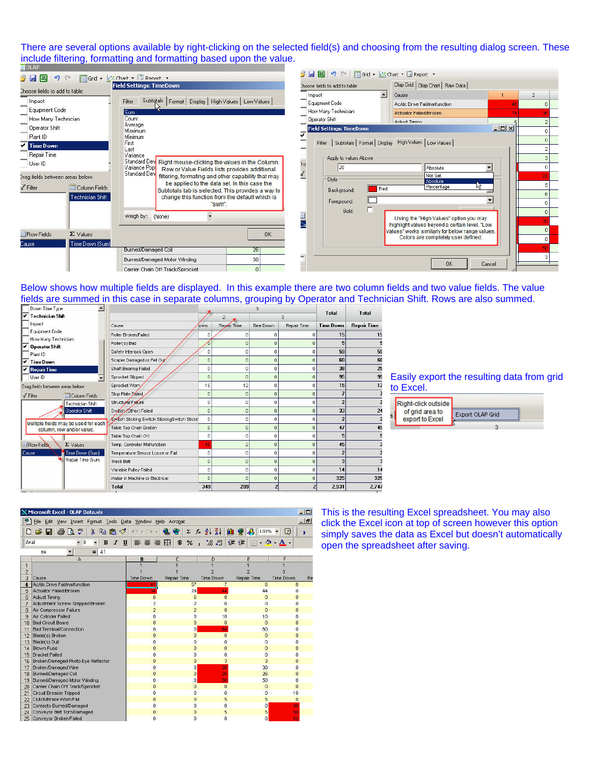There are several options available by right-clicking on the selected field(s) and choosing from the resulting dialog screen. These include filtering, formatting and formatting based upon the value.

| $3$ $\blacksquare$ $\blacksquare$ $\lozenge$ $\blacksquare$                                                                                                                                                                                                                                                                         |                  | Grid + Mchart + III Renort +                                        | <b>3 日図 り □ 目Grid - ∴Chart - ■ Report -</b> |                                                                                                  |                  |                |  |  |
|-------------------------------------------------------------------------------------------------------------------------------------------------------------------------------------------------------------------------------------------------------------------------------------------------------------------------------------|------------------|---------------------------------------------------------------------|---------------------------------------------|--------------------------------------------------------------------------------------------------|------------------|----------------|--|--|
| <b>Field Settings: TimeDown</b>                                                                                                                                                                                                                                                                                                     |                  |                                                                     | Choose fields to add to table:              | Olap Grid   Olap Chart   Raw Data                                                                |                  |                |  |  |
| Choose fields to add to table:                                                                                                                                                                                                                                                                                                      |                  |                                                                     | Impact                                      | $\blacktriangle$<br>Cause                                                                        |                  | $\overline{2}$ |  |  |
| Impact                                                                                                                                                                                                                                                                                                                              |                  | Subtotals   Format   Display   High Values   Low Values  <br>Filter | Equipment Code                              | Ac/dc Drive Fail/malfunction                                                                     |                  |                |  |  |
| Equipment Code                                                                                                                                                                                                                                                                                                                      |                  | Sum                                                                 | How Many Technician                         | Actuator Failed/Broken                                                                           |                  |                |  |  |
| How Many Technician                                                                                                                                                                                                                                                                                                                 |                  | Count<br>Average                                                    | <b>Operator Shift</b>                       | <b>Adjust Timing</b>                                                                             |                  |                |  |  |
| Operator Shift                                                                                                                                                                                                                                                                                                                      |                  | Maximum                                                             | <b>Field Settings: TimeDown</b>             |                                                                                                  | $ \Box$ $\times$ |                |  |  |
| Plant ID                                                                                                                                                                                                                                                                                                                            |                  | Minimum<br>First                                                    |                                             | Subtotals   Format   Display High Values   Low Values                                            |                  |                |  |  |
| Time Down                                                                                                                                                                                                                                                                                                                           |                  | Last                                                                | Filter                                      |                                                                                                  |                  |                |  |  |
| Repair Time<br>Variance<br>Standard Dev Right mouse-clicking the values in the Column,<br>User ID<br>Variance Pop<br>Row or Value Fields lists provides additional<br><b>Standard Dev</b><br>filtering, formating and other capability that may<br>Iraq fields between areas below:<br>be applied to the data set. In this case the |                  |                                                                     | Apply to values Above                       |                                                                                                  |                  |                |  |  |
|                                                                                                                                                                                                                                                                                                                                     |                  |                                                                     | 31(<br>20                                   | Absolute                                                                                         |                  |                |  |  |
|                                                                                                                                                                                                                                                                                                                                     |                  |                                                                     | Not Set                                     |                                                                                                  |                  |                |  |  |
|                                                                                                                                                                                                                                                                                                                                     |                  |                                                                     | Style                                       | <b>Absolute</b><br>Percentage                                                                    |                  |                |  |  |
| √ Filter                                                                                                                                                                                                                                                                                                                            | Column Fields    | Subtotals tab is selected. This provides a way to                   | Background:                                 | Red                                                                                              |                  |                |  |  |
|                                                                                                                                                                                                                                                                                                                                     | Technician Shift | change this function from the default which is<br>"sum".            | Foreground:                                 |                                                                                                  |                  |                |  |  |
|                                                                                                                                                                                                                                                                                                                                     |                  |                                                                     | Bold:                                       |                                                                                                  |                  |                |  |  |
|                                                                                                                                                                                                                                                                                                                                     |                  | Weigh by: (None)                                                    |                                             | Using the "High Values" option you may                                                           |                  |                |  |  |
|                                                                                                                                                                                                                                                                                                                                     |                  |                                                                     |                                             | highlight values beyond a certain level. "Low<br>Values" works similarly for below range values. |                  |                |  |  |
| <b>Row Fields</b>                                                                                                                                                                                                                                                                                                                   | $\Sigma$ Values  | <b>OK</b>                                                           |                                             | Colors are completely user defined.                                                              |                  |                |  |  |
| Cause:                                                                                                                                                                                                                                                                                                                              | Time Down (Sum)  |                                                                     |                                             |                                                                                                  |                  |                |  |  |
|                                                                                                                                                                                                                                                                                                                                     |                  | <b>Burned/Damaged Coil</b><br>26                                    |                                             |                                                                                                  |                  |                |  |  |
|                                                                                                                                                                                                                                                                                                                                     |                  | Burned/Damaged Motor Winding<br>50                                  |                                             | <b>OK</b>                                                                                        | Cancel           |                |  |  |
|                                                                                                                                                                                                                                                                                                                                     |                  | Carrier Chain Off Track/Sprocket                                    |                                             |                                                                                                  |                  |                |  |  |

Below shows how multiple fields are displayed. In this example there are two column fields and two value fields. The value fields are summed in this case in separate columns, grouping by Operator and Technician Shift. Rows are also summed.

|                                                                   |                                               |            |                |                |                | Total                   | Total              |  |
|-------------------------------------------------------------------|-----------------------------------------------|------------|----------------|----------------|----------------|-------------------------|--------------------|--|
| <b>Technician Shift</b><br>4Ŷ.                                    |                                               |            |                |                | 3.             |                         |                    |  |
| Impact                                                            | Cause                                         | own        | Repair Time    | Time Down      | Repair Time    | <b>Time Down</b>        | <b>Repair Time</b> |  |
| Equipment Code                                                    | Roller Broken/Failed                          | 0          | 0              | 0              | ٥              | 15                      | 15                 |  |
| How Many Technician<br><b>Operator Shift</b>                      | Roller(s) Bad                                 |            | $\overline{0}$ | $\Omega$       | 0              | 5                       |                    |  |
| Plant ID                                                          | Safety Interlock Open                         | $\Omega$   | 0              | n              | 0              | 59                      | 59                 |  |
| <b>Time Down</b>                                                  | Scaper Damaged or Fell Out                    | $\Omega$   | 0              | $\Omega$       | 0              | 60                      | 60                 |  |
| <b>Repair Time</b>                                                | Shaft Bearing Failed                          | $\Omega$   | 0              | 0              | 0              | 38                      | 25                 |  |
| User ID                                                           | Sprocket Slipped                              | $\Omega$   | $\overline{0}$ | $\Omega$       | $\overline{0}$ | 95                      | 95                 |  |
| Drag fields between areas below:                                  | Sprocket Worn                                 | 15         | 12             | n              | n              | 15                      | 12                 |  |
| Filter<br>Column Fields                                           | Stop Plate Eailed                             | $\Omega$   | $\mathbf 0$    | $\Omega$       | $\Omega$       |                         |                    |  |
| Technician Shift                                                  | Structural Failure                            | $\Omega$   | 0              | O              | 0              | $\overline{\mathbf{z}}$ |                    |  |
| Operator Shift                                                    | Switch (Other) Failed                         | $\theta$   | 0              | $\overline{0}$ | $\theta$       | 33                      | 24                 |  |
|                                                                   | Switch Sticking Switch StickingSwitch Stickir | $\Omega$   | 0              | 0              | 0              |                         |                    |  |
| Multiple fields may be used for each<br>column, row and/or value. | Table Top Chain Broken                        | 6          | 6              | $\Omega$       | $\Omega$       | 47                      | 45                 |  |
|                                                                   | Table Top Chain Off                           | 0          | 0              | 0              | $\Omega$       | 5                       |                    |  |
| <b>Row Fields</b><br>$\Sigma$ Values                              | Temp. Controller Malfunction                  | 45         | $\overline{2}$ | $\overline{0}$ | $\theta$       | 45                      |                    |  |
| Time Down (Sum)<br>Cause:                                         | Temperature Sensor Loose or Fail              | $\Omega$   | $\Omega$       | 0              | $^{\circ}$     | 2                       |                    |  |
| Repair Time (Sum                                                  | <b>Track Belt</b>                             | $\Omega$   | $\overline{0}$ | $\Omega$       | $\Omega$       | 3                       |                    |  |
|                                                                   | Variable Pulley Failed                        | $^{\circ}$ | 0              | 0              | 0              | 14                      | 14                 |  |
|                                                                   | Water in Machine or Electrical                | $\Omega$   | n              | $\Omega$       | $\Omega$       | 325                     | 325                |  |
|                                                                   | Total                                         | 349        | 289            | 2              |                | 2,931                   | 2,747              |  |

## Easily export the resulting data from grid to Excel.

|  | Right-click outside<br>of grid area to<br>export to Excel | Export OLAP Grid |  |
|--|-----------------------------------------------------------|------------------|--|
|--|-----------------------------------------------------------|------------------|--|

This is the resulting Excel spreadsheet. You may also click the Excel icon at top of screen however this option simply saves the data as Excel but doesn't automatically open the spreadsheet after saving.

| $-1$<br><b>X Microsoft Excel - OLAP Data.xls</b>                           |                                                                                                               |                |                                                    |                                   |                                          |                                                          |  |  |  |  |
|----------------------------------------------------------------------------|---------------------------------------------------------------------------------------------------------------|----------------|----------------------------------------------------|-----------------------------------|------------------------------------------|----------------------------------------------------------|--|--|--|--|
| $-10$<br>File<br>Edit<br>View Insert Format Tools Data Window Help Acrobat |                                                                                                               |                |                                                    |                                   |                                          |                                                          |  |  |  |  |
|                                                                            | <b>RES</b><br>X<br>追び<br>$\bigoplus$<br>eb.<br>户<br>Н                                                         | $K3 = CM +$    | €<br>$\Sigma$                                      | $f_*$ $\frac{A}{2}$ $\frac{Z}{A}$ | <b>M Q</b><br>$\frac{1}{2}$<br>$100\%$ - | 0                                                        |  |  |  |  |
| Arial                                                                      | $\overline{\phantom{a}}$<br>8<br>$\boldsymbol{I}$<br>$\mathbf{u}$<br>$\overline{\phantom{a}}$<br>$\mathbf{B}$ | 医毒道            | 圉<br>$\mathbf{B}$<br>%<br>$\overline{\phantom{a}}$ | $^{+6.0}_{-6.0}$                  | 信頼                                       | $\blacksquare$ $\cdot$ $\Delta$ $\cdot$ $\Delta$ $\cdot$ |  |  |  |  |
|                                                                            | 41<br>$\blacktriangledown$<br>$=$<br>B <sub>4</sub>                                                           |                |                                                    |                                   |                                          |                                                          |  |  |  |  |
|                                                                            | A                                                                                                             | R              | C                                                  | D                                 | E                                        | F                                                        |  |  |  |  |
| $\mathbf{1}$                                                               |                                                                                                               |                |                                                    |                                   |                                          |                                                          |  |  |  |  |
| $\overline{c}$                                                             |                                                                                                               |                |                                                    |                                   |                                          |                                                          |  |  |  |  |
| 3                                                                          | Cause                                                                                                         | Time Down      | Repair Time                                        | <b>Time Down</b>                  | Repair Time                              | <b>Time Down</b><br>Re                                   |  |  |  |  |
| $\ddot{\phantom{a}}$                                                       | Ac/dc Drive Fail/malfunction                                                                                  | 41             | 57                                                 | $\overline{7}$                    | 6                                        | $\Omega$                                                 |  |  |  |  |
| 5                                                                          | Actuator Failed/Broken                                                                                        | 34             | 29                                                 | 44                                | 44                                       | ٥                                                        |  |  |  |  |
| 6                                                                          | Adjust Timing                                                                                                 | 6              | 6                                                  | $\overline{0}$                    | $\overline{0}$                           | $\overline{0}$                                           |  |  |  |  |
| 7                                                                          | Adjustment Screw Stripped/Broken                                                                              | $\overline{c}$ | $\overline{2}$                                     | 0                                 | $\theta$                                 | 0                                                        |  |  |  |  |
| 8                                                                          | Air Compressor Failure                                                                                        | $\overline{a}$ | $\overline{\mathbf{c}}$                            | 0                                 | $\overline{0}$                           | o                                                        |  |  |  |  |
| 9                                                                          | Air Cylinder Failed                                                                                           | $\Omega$       | $\Omega$                                           | 10                                | 10                                       | $\overline{0}$                                           |  |  |  |  |
| 10                                                                         | <b>Bad Circuit Board</b>                                                                                      | $\Omega$       | $\overline{0}$                                     | $\overline{0}$                    | $\Omega$                                 | $\overline{0}$                                           |  |  |  |  |
| 11                                                                         | <b>Bad Terminal/Connection</b>                                                                                | 0              | o                                                  | 60                                | 60                                       | $\overline{0}$                                           |  |  |  |  |
| 12                                                                         | Blade(s) Broken                                                                                               | $\overline{0}$ | $\Omega$                                           | $\overline{0}$                    | $\overline{0}$                           | 9                                                        |  |  |  |  |
| 13                                                                         | Blade(s) Dull                                                                                                 | 0              | o                                                  | Ō                                 | $\overline{0}$                           | Ō                                                        |  |  |  |  |
| 14                                                                         | <b>Blown Fuse</b>                                                                                             | $\mathbf{0}$   | $\overline{0}$                                     | 0                                 | 0                                        | 0                                                        |  |  |  |  |
| 15                                                                         | <b>Bracket Failed</b>                                                                                         | 0              | 0                                                  | 0                                 | 0                                        | 0                                                        |  |  |  |  |
| 16                                                                         | Broken/Damaged Photo Eye Reflector                                                                            | 0              | $\overline{0}$                                     | 3                                 | 3                                        | $\bf{0}$                                                 |  |  |  |  |
| 17                                                                         | Broken/Damaged Wire                                                                                           | n              | 0                                                  | 30                                | 30                                       | n                                                        |  |  |  |  |
|                                                                            | 18 Burned/Damaged Coil                                                                                        | $\Omega$       | $\overline{0}$                                     | 26                                | 26                                       | $\overline{0}$                                           |  |  |  |  |
|                                                                            | 19 Burned/Damaged Motor Winding                                                                               | 0              | o                                                  | 50                                | 50                                       | 0                                                        |  |  |  |  |
|                                                                            | 20 Carrier Chain Off Track/Sprocket                                                                           | $\overline{0}$ | $\overline{0}$                                     | $\overline{0}$                    | $\overline{0}$                           | $\overline{0}$                                           |  |  |  |  |
| 21                                                                         | Circuit Breaker Tripped                                                                                       | 0              | $\Omega$                                           | 0                                 | 0                                        | 10                                                       |  |  |  |  |
| 22                                                                         | Clutch/Brake Worn/Fail                                                                                        | $\overline{0}$ | $\overline{0}$                                     | 5                                 | 5                                        | 0                                                        |  |  |  |  |
| 23                                                                         | Contacts Burned/Damaged                                                                                       | $\mathbf 0$    | 0                                                  | Ō                                 | 0                                        | 30                                                       |  |  |  |  |
|                                                                            | 24 Conveyor Belt Torn/Damaged                                                                                 | $\Omega$       | $\overline{0}$                                     | 5                                 | 5                                        | 50                                                       |  |  |  |  |
| 25                                                                         | Conveyor Broken/Failed                                                                                        | 0              | 0                                                  | 8                                 | 8                                        | 55                                                       |  |  |  |  |